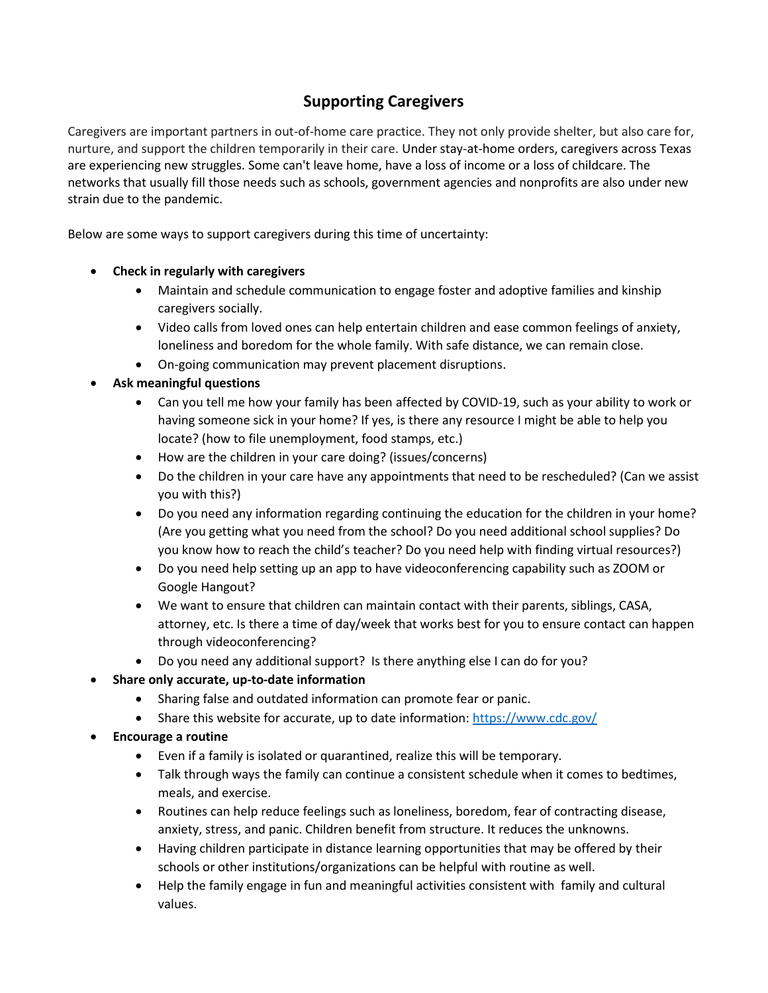## **Supporting Caregivers**

Caregivers are important partners in out-of-home care practice. They not only provide shelter, but also care for, nurture, and support the children temporarily in their care. Under stay-at-home orders, caregivers across Texas are experiencing new struggles. Some can't leave home, have a loss of income or a loss of childcare. The networks that usually fill those needs such as schools, government agencies and nonprofits are also under new strain due to the pandemic.

Below are some ways to support caregivers during this time of uncertainty:

- **Check in regularly with caregivers**
	- Maintain and schedule communication to engage foster and adoptive families and kinship caregivers socially.
	- Video calls from loved ones can help entertain children and ease common feelings of anxiety, loneliness and boredom for the whole family. With safe distance, we can remain close.
	- On-going communication may prevent placement disruptions.
- **Ask meaningful questions**
	- Can you tell me how your family has been affected by COVID-19, such as your ability to work or having someone sick in your home? If yes, is there any resource I might be able to help you locate? (how to file unemployment, food stamps, etc.)
	- How are the children in your care doing? (issues/concerns)
	- Do the children in your care have any appointments that need to be rescheduled? (Can we assist you with this?)
	- Do you need any information regarding continuing the education for the children in your home? (Are you getting what you need from the school? Do you need additional school supplies? Do you know how to reach the child's teacher? Do you need help with finding virtual resources?)
	- Do you need help setting up an app to have videoconferencing capability such as ZOOM or Google Hangout?
	- We want to ensure that children can maintain contact with their parents, siblings, CASA, attorney, etc. Is there a time of day/week that works best for you to ensure contact can happen through videoconferencing?
	- Do you need any additional support? Is there anything else I can do for you?
- **Share only accurate, up-to-date information**
	- Sharing false and outdated information can promote fear or panic.
	- Share this website for accurate, up to date information: <https://www.cdc.gov/>
- **Encourage a routine**
	- Even if a family is isolated or quarantined, realize this will be temporary.
	- Talk through ways the family can continue a consistent schedule when it comes to bedtimes, meals, and exercise.
	- Routines can help reduce feelings such as loneliness, boredom, fear of contracting disease, anxiety, stress, and panic. Children benefit from structure. It reduces the unknowns.
	- Having children participate in distance learning opportunities that may be offered by their schools or other institutions/organizations can be helpful with routine as well.
	- Help the family engage in fun and meaningful activities consistent with family and cultural values.